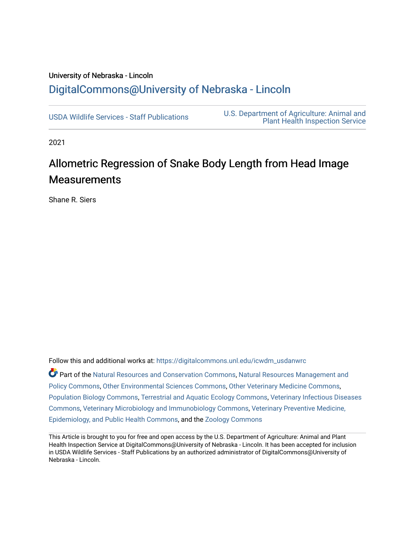## University of Nebraska - Lincoln [DigitalCommons@University of Nebraska - Lincoln](https://digitalcommons.unl.edu/)

[USDA Wildlife Services - Staff Publications](https://digitalcommons.unl.edu/icwdm_usdanwrc) [U.S. Department of Agriculture: Animal and](https://digitalcommons.unl.edu/usdaaphis)  [Plant Health Inspection Service](https://digitalcommons.unl.edu/usdaaphis) 

2021

## Allometric Regression of Snake Body Length from Head Image **Measurements**

Shane R. Siers

Follow this and additional works at: [https://digitalcommons.unl.edu/icwdm\\_usdanwrc](https://digitalcommons.unl.edu/icwdm_usdanwrc?utm_source=digitalcommons.unl.edu%2Ficwdm_usdanwrc%2F2552&utm_medium=PDF&utm_campaign=PDFCoverPages)

Part of the [Natural Resources and Conservation Commons,](http://network.bepress.com/hgg/discipline/168?utm_source=digitalcommons.unl.edu%2Ficwdm_usdanwrc%2F2552&utm_medium=PDF&utm_campaign=PDFCoverPages) [Natural Resources Management and](http://network.bepress.com/hgg/discipline/170?utm_source=digitalcommons.unl.edu%2Ficwdm_usdanwrc%2F2552&utm_medium=PDF&utm_campaign=PDFCoverPages) [Policy Commons](http://network.bepress.com/hgg/discipline/170?utm_source=digitalcommons.unl.edu%2Ficwdm_usdanwrc%2F2552&utm_medium=PDF&utm_campaign=PDFCoverPages), [Other Environmental Sciences Commons](http://network.bepress.com/hgg/discipline/173?utm_source=digitalcommons.unl.edu%2Ficwdm_usdanwrc%2F2552&utm_medium=PDF&utm_campaign=PDFCoverPages), [Other Veterinary Medicine Commons](http://network.bepress.com/hgg/discipline/771?utm_source=digitalcommons.unl.edu%2Ficwdm_usdanwrc%2F2552&utm_medium=PDF&utm_campaign=PDFCoverPages), [Population Biology Commons,](http://network.bepress.com/hgg/discipline/19?utm_source=digitalcommons.unl.edu%2Ficwdm_usdanwrc%2F2552&utm_medium=PDF&utm_campaign=PDFCoverPages) [Terrestrial and Aquatic Ecology Commons,](http://network.bepress.com/hgg/discipline/20?utm_source=digitalcommons.unl.edu%2Ficwdm_usdanwrc%2F2552&utm_medium=PDF&utm_campaign=PDFCoverPages) [Veterinary Infectious Diseases](http://network.bepress.com/hgg/discipline/770?utm_source=digitalcommons.unl.edu%2Ficwdm_usdanwrc%2F2552&utm_medium=PDF&utm_campaign=PDFCoverPages)  [Commons](http://network.bepress.com/hgg/discipline/770?utm_source=digitalcommons.unl.edu%2Ficwdm_usdanwrc%2F2552&utm_medium=PDF&utm_campaign=PDFCoverPages), [Veterinary Microbiology and Immunobiology Commons,](http://network.bepress.com/hgg/discipline/763?utm_source=digitalcommons.unl.edu%2Ficwdm_usdanwrc%2F2552&utm_medium=PDF&utm_campaign=PDFCoverPages) [Veterinary Preventive Medicine,](http://network.bepress.com/hgg/discipline/769?utm_source=digitalcommons.unl.edu%2Ficwdm_usdanwrc%2F2552&utm_medium=PDF&utm_campaign=PDFCoverPages)  [Epidemiology, and Public Health Commons,](http://network.bepress.com/hgg/discipline/769?utm_source=digitalcommons.unl.edu%2Ficwdm_usdanwrc%2F2552&utm_medium=PDF&utm_campaign=PDFCoverPages) and the [Zoology Commons](http://network.bepress.com/hgg/discipline/81?utm_source=digitalcommons.unl.edu%2Ficwdm_usdanwrc%2F2552&utm_medium=PDF&utm_campaign=PDFCoverPages)

This Article is brought to you for free and open access by the U.S. Department of Agriculture: Animal and Plant Health Inspection Service at DigitalCommons@University of Nebraska - Lincoln. It has been accepted for inclusion in USDA Wildlife Services - Staff Publications by an authorized administrator of DigitalCommons@University of Nebraska - Lincoln.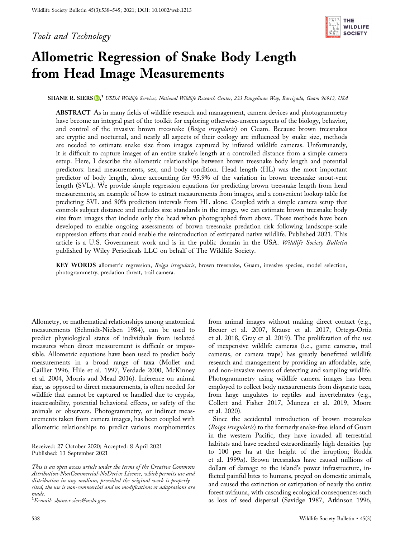Tools and Technology



# Allometric Regression of Snake Body Length from Head Image Measurements

SHANE R. SIERS (D[,](https://orcid.org/0000-0001-7961-5072)<sup>1</sup> USDA Wildlife Services, National Wildlife Research Center, 233 Pangelinan Way, Barrigada, Guam 96913, USA

ABSTRACT As in many fields of wildlife research and management, camera devices and photogrammetry have become an integral part of the toolkit for exploring otherwise-unseen aspects of the biology, behavior, and control of the invasive brown treesnake (Boiga irregularis) on Guam. Because brown treesnakes are cryptic and nocturnal, and nearly all aspects of their ecology are influenced by snake size, methods are needed to estimate snake size from images captured by infrared wildlife cameras. Unfortunately, it is difficult to capture images of an entire snake's length at a controlled distance from a simple camera setup. Here, I describe the allometric relationships between brown treesnake body length and potential predictors: head measurements, sex, and body condition. Head length (HL) was the most important predictor of body length, alone accounting for 95.9% of the variation in brown treesnake snout-vent length (SVL). We provide simple regression equations for predicting brown treesnake length from head measurements, an example of how to extract measurements from images, and a convenient lookup table for predicting SVL and 80% prediction intervals from HL alone. Coupled with a simple camera setup that controls subject distance and includes size standards in the image, we can estimate brown treesnake body size from images that include only the head when photographed from above. These methods have been developed to enable ongoing assessments of brown treesnake predation risk following landscape-scale suppression efforts that could enable the reintroduction of extirpated native wildlife. Published 2021. This article is a U.S. Government work and is in the public domain in the USA. Wildlife Society Bulletin published by Wiley Periodicals LLC on behalf of The Wildlife Society.

KEY WORDS allometric regression, Boiga irregularis, brown treesnake, Guam, invasive species, model selection, photogrammetry, predation threat, trail camera.

Allometry, or mathematical relationships among anatomical measurements (Schmidt‐Nielsen 1984), can be used to predict physiological states of individuals from isolated measures when direct measurement is difficult or impossible. Allometric equations have been used to predict body measurements in a broad range of taxa (Mollet and Cailliet 1996, Hile et al. 1997, Verdade 2000, McKinney et al. 2004, Morris and Mead 2016). Inference on animal size, as opposed to direct measurements, is often needed for wildlife that cannot be captured or handled due to crypsis, inaccessibility, potential behavioral effects, or safety of the animals or observers. Photogrammetry, or indirect measurements taken from camera images, has been coupled with allometric relationships to predict various morphometrics

Received: 27 October 2020; Accepted: 8 April 2021 Published: 13 September 2021

This is an open access article under the terms of the Creative Commons Attribution‐NonCommercial‐NoDerivs License, which permits use and distribution in any medium, provided the original work is properly cited, the use is non‐commercial and no modifications or adaptations are made.

 $^1E\!\!$ -mail: [shane.r.siers@usda.gov](mailto:shane.r.siers@usda.gov)

from animal images without making direct contact (e.g., Breuer et al. 2007, Krause et al. 2017, Ortega‐Ortiz et al. 2018, Gray et al. 2019). The proliferation of the use of inexpensive wildlife cameras (i.e., game cameras, trail cameras, or camera traps) has greatly benefitted wildlife research and management by providing an affordable, safe, and non‐invasive means of detecting and sampling wildlife. Photogrammetry using wildlife camera images has been employed to collect body measurements from disparate taxa, from large ungulates to reptiles and invertebrates (e.g., Collett and Fisher 2017, Muneza et al. 2019, Moore et al. 2020).

Since the accidental introduction of brown treesnakes (Boiga irregularis) to the formerly snake-free island of Guam in the western Pacific, they have invaded all terrestrial habitats and have reached extraordinarily high densities (up to 100 per ha at the height of the irruption; Rodda et al. 1999a). Brown treesnakes have caused millions of dollars of damage to the island's power infrastructure, inflicted painful bites to humans, preyed on domestic animals, and caused the extinction or extirpation of nearly the entire forest avifauna, with cascading ecological consequences such as loss of seed dispersal (Savidge 1987, Atkinson 1996,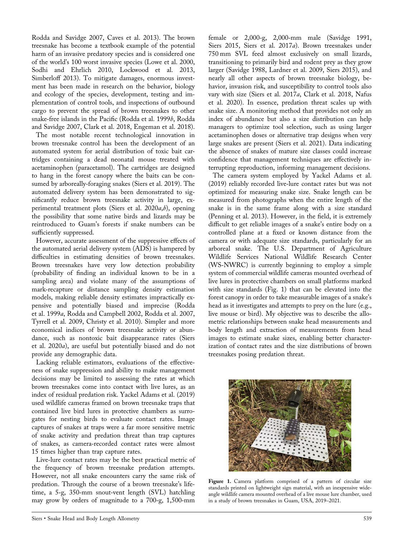Rodda and Savidge 2007, Caves et al. 2013). The brown treesnake has become a textbook example of the potential harm of an invasive predatory species and is considered one of the world's 100 worst invasive species (Lowe et al. 2000, Sodhi and Ehrlich 2010, Lockwood et al. 2013, Simberloff 2013). To mitigate damages, enormous investment has been made in research on the behavior, biology and ecology of the species, development, testing and implementation of control tools, and inspections of outbound cargo to prevent the spread of brown treesnakes to other snake-free islands in the Pacific (Rodda et al. 1999b, Rodda and Savidge 2007, Clark et al. 2018, Engeman et al. 2018).

The most notable recent technological innovation in brown treesnake control has been the development of an automated system for aerial distribution of toxic bait cartridges containing a dead neonatal mouse treated with acetaminophen (paracetamol). The cartridges are designed to hang in the forest canopy where the baits can be consumed by arboreally‐foraging snakes (Siers et al. 2019). The automated delivery system has been demonstrated to significantly reduce brown treesnake activity in large, experimental treatment plots (Siers et al.  $2020a,b$ ), opening the possibility that some native birds and lizards may be reintroduced to Guam's forests if snake numbers can be sufficiently suppressed.

However, accurate assessment of the suppressive effects of the automated aerial delivery system (ADS) is hampered by difficulties in estimating densities of brown treesnakes. Brown treesnakes have very low detection probability (probability of finding an individual known to be in a sampling area) and violate many of the assumptions of mark‐recapture or distance sampling density estimation models, making reliable density estimates impractically expensive and potentially biased and imprecise (Rodda et al. 1999a, Rodda and Campbell 2002, Rodda et al. 2007, Tyrrell et al. 2009, Christy et al. 2010). Simpler and more economical indices of brown treesnake activity or abundance, such as nontoxic bait disappearance rates (Siers et al. 2020a), are useful but potentially biased and do not provide any demographic data.

Lacking reliable estimators, evaluations of the effectiveness of snake suppression and ability to make management decisions may be limited to assessing the rates at which brown treesnakes come into contact with live lures, as an index of residual predation risk. Yackel Adams et al. (2019) used wildlife cameras framed on brown treesnake traps that contained live bird lures in protective chambers as surrogates for nesting birds to evaluate contact rates. Image captures of snakes at traps were a far more sensitive metric of snake activity and predation threat than trap captures of snakes, as camera‐recorded contact rates were almost 15 times higher than trap capture rates.

Live‐lure contact rates may be the best practical metric of the frequency of brown treesnake predation attempts. However, not all snake encounters carry the same risk of predation. Through the course of a brown treesnake's lifetime, a 5‐g, 350‐mm snout‐vent length (SVL) hatchling may grow by orders of magnitude to a 700‐g, 1,500‐mm

female or 2,000‐g, 2,000‐mm male (Savidge 1991, Siers 2015, Siers et al. 2017a). Brown treesnakes under 750 mm SVL feed almost exclusively on small lizards, transitioning to primarily bird and rodent prey as they grow larger (Savidge 1988, Lardner et al. 2009, Siers 2015), and nearly all other aspects of brown treesnake biology, behavior, invasion risk, and susceptibility to control tools also vary with size (Siers et al. 2017a, Clark et al. 2018, Nafus et al. 2020). In essence, predation threat scales up with snake size. A monitoring method that provides not only an index of abundance but also a size distribution can help managers to optimize tool selection, such as using larger acetaminophen doses or alternative trap designs when very large snakes are present (Siers et al. 2021). Data indicating the absence of snakes of mature size classes could increase confidence that management techniques are effectively interrupting reproduction, informing management decisions.

The camera system employed by Yackel Adams et al. (2019) reliably recorded live‐lure contact rates but was not optimized for measuring snake size. Snake length can be measured from photographs when the entire length of the snake is in the same frame along with a size standard (Penning et al. 2013). However, in the field, it is extremely difficult to get reliable images of a snake's entire body on a controlled plane at a fixed or known distance from the camera or with adequate size standards, particularly for an arboreal snake. The U.S. Department of Agriculture Wildlife Services National Wildlife Research Center (WS‐NWRC) is currently beginning to employ a simple system of commercial wildlife cameras mounted overhead of live lures in protective chambers on small platforms marked with size standards (Fig. 1) that can be elevated into the forest canopy in order to take measurable images of a snake's head as it investigates and attempts to prey on the lure (e.g., live mouse or bird). My objective was to describe the allometric relationships between snake head measurements and body length and extraction of measurements from head images to estimate snake sizes, enabling better characterization of contact rates and the size distributions of brown treesnakes posing predation threat.



Figure 1. Camera platform comprised of a pattern of circular size standards printed on lightweight sign material, with an inexpensive wideangle wildlife camera mounted overhead of a live mouse lure chamber, used in a study of brown treesnakes in Guam, USA, 2019–2021.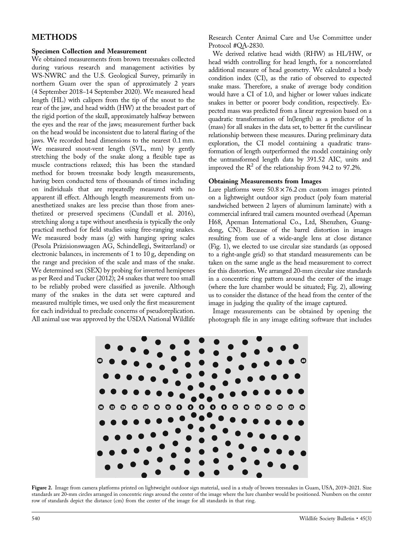## **METHODS**

#### Specimen Collection and Measurement

We obtained measurements from brown treesnakes collected during various research and management activities by WS‐NWRC and the U.S. Geological Survey, primarily in northern Guam over the span of approximately 2 years (4 September 2018–14 September 2020). We measured head length (HL) with calipers from the tip of the snout to the rear of the jaw, and head width (HW) at the broadest part of the rigid portion of the skull, approximately halfway between the eyes and the rear of the jaws; measurement further back on the head would be inconsistent due to lateral flaring of the jaws. We recorded head dimensions to the nearest 0.1 mm. We measured snout-vent length (SVL, mm) by gently stretching the body of the snake along a flexible tape as muscle contractions relaxed; this has been the standard method for brown treesnake body length measurements, having been conducted tens of thousands of times including on individuals that are repeatedly measured with no apparent ill effect. Although length measurements from unanesthetized snakes are less precise than those from anesthetized or preserved specimens (Cundall et al. 2016), stretching along a tape without anesthesia is typically the only practical method for field studies using free‐ranging snakes. We measured body mass (g) with hanging spring scales (Pesola Präzisionswaagen AG, Schindellegi, Switzerland) or electronic balances, in increments of 1 to 10 g, depending on the range and precision of the scale and mass of the snake. We determined sex (SEX) by probing for inverted hemipenes as per Reed and Tucker (2012); 24 snakes that were too small to be reliably probed were classified as juvenile. Although many of the snakes in the data set were captured and measured multiple times, we used only the first measurement for each individual to preclude concerns of pseudoreplication. All animal use was approved by the USDA National Wildlife

Research Center Animal Care and Use Committee under Protocol #QA‐2830.

We derived relative head width (RHW) as HL/HW, or head width controlling for head length, for a noncorrelated additional measure of head geometry. We calculated a body condition index (CI), as the ratio of observed to expected snake mass. Therefore, a snake of average body condition would have a CI of 1.0, and higher or lower values indicate snakes in better or poorer body condition, respectively. Expected mass was predicted from a linear regression based on a quadratic transformation of ln(length) as a predictor of ln (mass) for all snakes in the data set, to better fit the curvilinear relationship between these measures. During preliminary data exploration, the CI model containing a quadratic transformation of length outperformed the model containing only the untransformed length data by 391.52  $AIC_c$  units and improved the  $R^2$  of the relationship from 94.2 to 97.2%.

#### Obtaining Measurements from Images

Lure platforms were  $50.8 \times 76.2$  cm custom images printed on a lightweight outdoor sign product (poly foam material sandwiched between 2 layers of aluminum laminate) with a commercial infrared trail camera mounted overhead (Apeman H68, Apeman International Co., Ltd, Shenzhen, Guangdong, CN). Because of the barrel distortion in images resulting from use of a wide‐angle lens at close distance (Fig. 1), we elected to use circular size standards (as opposed to a right‐angle grid) so that standard measurements can be taken on the same angle as the head measurement to correct for this distortion. We arranged 20‐mm circular size standards in a concentric ring pattern around the center of the image (where the lure chamber would be situated; Fig. 2), allowing us to consider the distance of the head from the center of the image in judging the quality of the image captured.

Image measurements can be obtained by opening the photograph file in any image editing software that includes



Figure 2. Image from camera platforms printed on lightweight outdoor sign material, used in a study of brown treesnakes in Guam, USA, 2019-2021. Size standards are 20‐mm circles arranged in concentric rings around the center of the image where the lure chamber would be positioned. Numbers on the center row of standards depict the distance (cm) from the center of the image for all standards in that ring.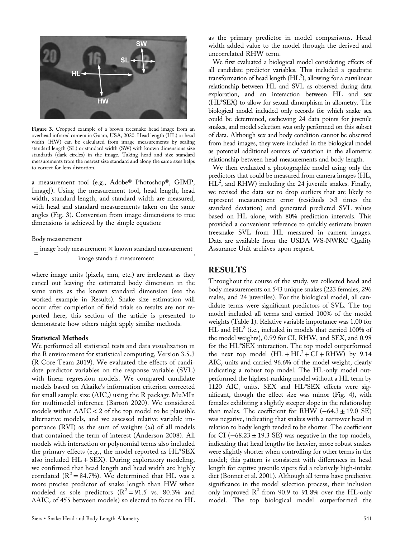

Figure 3. Cropped example of a brown treesnake head image from an overhead infrared camera in Guam, USA, 2020. Head length (HL) or head width (HW) can be calculated from image measurements by scaling standard length (SL) or standard width (SW) with known dimensions size standards (dark circles) in the image. Taking head and size standard measurements from the nearest size standard and along the same axes helps to correct for lens distortion.

a measurement tool (e.g., Adobe® Photoshop®, GIMP, ImageJ). Using the measurement tool, head length, head width, standard length, and standard width are measured, with head and standard measurements taken on the same angles (Fig. 3). Conversion from image dimensions to true dimensions is achieved by the simple equation:

Body measurement

 $=\frac{image \text{ body measurement} \times known \text{ standard measurement}}{log \text{ frequency}}$ image standard measurement

where image units (pixels, mm, etc.) are irrelevant as they cancel out leaving the estimated body dimension in the same units as the known standard dimension (see the worked example in Results). Snake size estimation will occur after completion of field trials so results are not reported here; this section of the article is presented to demonstrate how others might apply similar methods.

#### Statistical Methods

We performed all statistical tests and data visualization in the R environment for statistical computing, Version 3.5.3 (R Core Team 2019). We evaluated the effects of candidate predictor variables on the response variable (SVL) with linear regression models. We compared candidate models based on Akaike's information criterion corrected for small sample size  $(AIC<sub>c</sub>)$  using the R package MuMIn for multimodel inference (Bartoń 2020). We considered models within  $\triangle AIC < 2$  of the top model to be plausible alternative models, and we assessed relative variable importance (RVI) as the sum of weights  $(\omega)$  of all models that contained the term of interest (Anderson 2008). All models with interaction or polynomial terms also included the primary effects (e.g., the model reported as HL\*SEX also included  $HL + SEX$ ). During exploratory modeling, we confirmed that head length and head width are highly correlated  $(R^2 = 84.7\%)$ . We determined that HL was a more precise predictor of snake length than HW when modeled as sole predictors  $(R^2 = 91.5 \text{ vs. } 80.3\% \text{ and }$  $\triangle AIC_{c}$  of 455 between models) so elected to focus on HL

as the primary predictor in model comparisons. Head width added value to the model through the derived and uncorrelated RHW term.

We first evaluated a biological model considering effects of all candidate predictor variables. This included a quadratic transformation of head length  $(HL<sup>2</sup>)$ , allowing for a curvilinear relationship between HL and SVL as observed during data exploration, and an interaction between HL and sex (HL\*SEX) to allow for sexual dimorphism in allometry. The biological model included only records for which snake sex could be determined, eschewing 24 data points for juvenile snakes, and model selection was only performed on this subset of data. Although sex and body condition cannot be observed from head images, they were included in the biological model as potential additional sources of variation in the allometric relationship between head measurements and body length.

We then evaluated a photographic model using only the predictors that could be measured from camera images (HL,  $\text{H}$ L<sup>2</sup>, and RHW) including the 24 juvenile snakes. Finally, we revised the data set to drop outliers that are likely to represent measurement error (residuals >3 times the standard deviation) and generated predicted SVL values based on HL alone, with 80% prediction intervals. This provided a convenient reference to quickly estimate brown treesnake SVL from HL measured in camera images. Data are available from the USDA WS‐NWRC Quality Assurance Unit archives upon request.

## RESULTS

Throughout the course of the study, we collected head and body measurements on 543 unique snakes (223 females, 296 males, and 24 juveniles). For the biological model, all candidate terms were significant predictors of SVL. The top model included all terms and carried 100% of the model weights (Table 1). Relative variable importance was 1.00 for  $HL$  and  $HL<sup>2</sup>$  (i.e., included in models that carried 100% of the model weights), 0.99 for CI, RHW, and SEX, and 0.98 for the HL\*SEX interaction. The top model outperformed the next top model  $(HL + HL^2 + CI + RHW)$  by 9.14  $AIC<sub>c</sub>$  units and carried 96.6% of the model weight, clearly indicating a robust top model. The HL-only model outperformed the highest-ranking model without a HL term by 1120  $AIC_c$  units. SEX and HL\*SEX effects were significant, though the effect size was minor (Fig. 4), with females exhibiting a slightly steeper slope in the relationship than males. The coefficient for RHW  $(-64.3 \pm 19.0 \text{ SE})$ was negative, indicating that snakes with a narrower head in relation to body length tended to be shorter. The coefficient for CI ( $-68.23 \pm 19.3$  SE) was negative in the top models, indicating that head lengths for heavier, more robust snakes were slightly shorter when controlling for other terms in the model; this pattern is consistent with differences in head length for captive juvenile vipers fed a relatively high‐intake diet (Bonnet et al. 2001). Although all terms have predictive significance in the model selection process, their inclusion only improved  $\mathbb{R}^2$  from 90.9 to 91.8% over the HL-only model. The top biological model outperformed the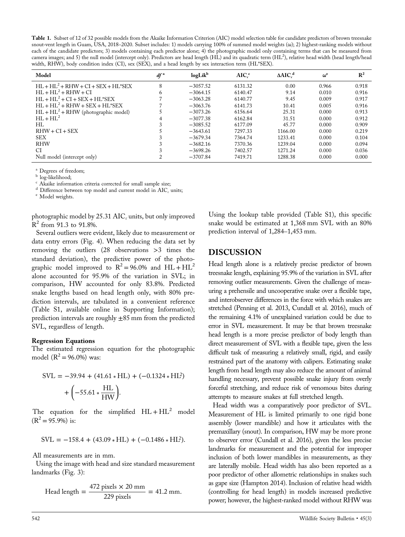Table 1. Subset of 12 of 32 possible models from the Akaike Information Criterion (AIC) model selection table for candidate predictors of brown treesnake snout-vent length in Guam, USA, 2018–2020. Subset includes: 1) models carrying 100% of summed model weights (ω); 2) highest-ranking models without each of the candidate predictors; 3) models containing each predictor alone; 4) the photographic model only containing terms that can be measured from camera images; and 5) the null model (intercept only). Predictors are head length (HL) and its quadratic term (HL<sup>2</sup>), relative head width (head length/head width, RHW), body condition index (CI), sex (SEX), and a head length by sex interaction term (HL\*SEX).

| Model                                  | $df^a$ | $logLik^b$ | $AIC_c^c$ | $\triangle AIC_c^d$ | $\omega^{\mathrm{e}}$ | $\mathbb{R}^2$ |
|----------------------------------------|--------|------------|-----------|---------------------|-----------------------|----------------|
| $HL + HL2 + RHW + CI + SEX + HL*SEX$   | 8      | $-3057.52$ | 6131.32   | 0.00                | 0.966                 | 0.918          |
| $HL + HL^2 + RHW + CI$                 | 6      | $-3064.15$ | 6140.47   | 9.14                | 0.010                 | 0.916          |
| $HL + HL2 + CI + SEX + HL*SEX$         |        | $-3063.28$ | 6140.77   | 9.45                | 0.009                 | 0.917          |
| $HL + HL2 + RHW + SEX + HL*SEX$        |        | $-3063.76$ | 6141.73   | 10.41               | 0.005                 | 0.916          |
| $HL + HL^2 + RHW$ (photographic model) |        | $-3073.26$ | 6156.64   | 25.31               | 0.000                 | 0.913          |
| $HL + HL^2$                            | 4      | $-3077.38$ | 6162.84   | 31.51               | 0.000                 | 0.912          |
| HL.                                    |        | $-3085.52$ | 6177.09   | 45.77               | 0.000                 | 0.909          |
| $RHW + CI + SEX$                       |        | $-3643.61$ | 7297.33   | 1166.00             | 0.000                 | 0.219          |
| <b>SEX</b>                             |        | $-3679.34$ | 7364.74   | 1233.41             | 0.000                 | 0.104          |
| <b>RHW</b>                             |        | $-3682.16$ | 7370.36   | 1239.04             | 0.000                 | 0.094          |
| СI                                     |        | $-3698.26$ | 7402.57   | 1271.24             | 0.000                 | 0.036          |
| Null model (intercept only)            |        | $-3707.84$ | 7419.71   | 1288.38             | 0.000                 | 0.000          |

 $\frac{a}{b}$  Degrees of freedom;<br> $\frac{b}{c}$  log-likelihood;

 $\degree$  Akaike information criteria corrected for small sample size;

 $\rm ^d$  Difference between top model and current model in AIC $_{c}$  units;  $\rm ^e$  Model weights.

photographic model by  $25.31$   $AIC_c$  units, but only improved  $R^2$  from 91.3 to 91.8%.

Several outliers were evident, likely due to measurement or data entry errors (Fig. 4). When reducing the data set by removing the outliers (28 observations >3 times the standard deviation), the predictive power of the photographic model improved to  $R^2 = 96.0\%$  and  $HL + HL^2$ alone accounted for 95.9% of the variation in SVL; in comparison, HW accounted for only 83.8%. Predicted snake lengths based on head length only, with 80% prediction intervals, are tabulated in a convenient reference (Table S1, available online in Supporting Information); prediction intervals are roughly  $\pm 85$  mm from the predicted SVL, regardless of length.

#### Regression Equations

The estimated regression equation for the photographic model  $(R^2 = 96.0\%)$  was:

$$
SVL = -39.94 + (41.61 * HL) + (-0.1324 * HL2) + \left(-55.61 * \frac{HL}{HW}\right).
$$

The equation for the simplified  $HL + HL^2$  model  $(R^2 = 95.9\%)$  is:

$$
SVL = -158.4 + (43.09 * HL) + (-0.1486 * HL^2).
$$

All measurements are in mm.

Using the image with head and size standard measurement landmarks (Fig. 3):

Head length = 
$$
\frac{472 \text{ pixels} \times 20 \text{ mm}}{229 \text{ pixels}} = 41.2 \text{ mm}.
$$

Using the lookup table provided (Table S1), this specific snake would be estimated at 1,368 mm SVL with an 80% prediction interval of 1,284–1,453 mm.

#### DISCUSSION

Head length alone is a relatively precise predictor of brown treesnake length, explaining 95.9% of the variation in SVL after removing outlier measurements. Given the challenge of measuring a prehensile and uncooperative snake over a flexible tape, and interobserver differences in the force with which snakes are stretched (Penning et al. 2013, Cundall et al. 2016), much of the remaining 4.1% of unexplained variation could be due to error in SVL measurement. It may be that brown treesnake head length is a more precise predictor of body length than direct measurement of SVL with a flexible tape, given the less difficult task of measuring a relatively small, rigid, and easily restrained part of the anatomy with calipers. Estimating snake length from head length may also reduce the amount of animal handling necessary, prevent possible snake injury from overly forceful stretching, and reduce risk of venomous bites during attempts to measure snakes at full stretched length.

Head width was a comparatively poor predictor of SVL. Measurement of HL is limited primarily to one rigid bone assembly (lower mandible) and how it articulates with the premaxillary (snout). In comparison, HW may be more prone to observer error (Cundall et al. 2016), given the less precise landmarks for measurement and the potential for improper inclusion of both lower mandibles in measurements, as they are laterally mobile. Head width has also been reported as a poor predictor of other allometric relationships in snakes such as gape size (Hampton 2014). Inclusion of relative head width (controlling for head length) in models increased predictive power; however, the highest-ranked model without RHW was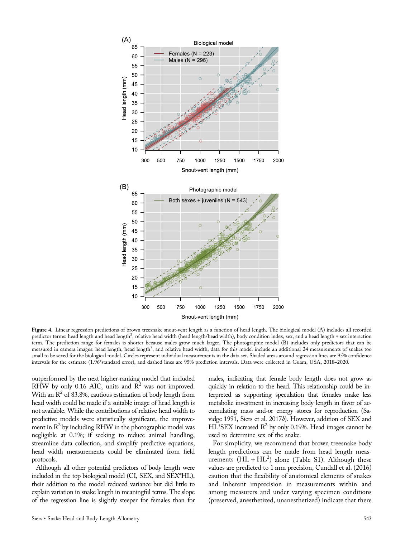

Figure 4. Linear regression predictions of brown treesnake snout-vent length as a function of head length. The biological model (A) includes all recorded predictor terms: head length and head length<sup>2</sup>, relative head width (head length/head width), body condition index, sex, and a head length \* sex interaction term. The prediction range for females is shorter because males grow much larger. The photographic model (B) includes only predictors that can be measured in camera images: head length, head length<sup>2</sup>, and relative head width; data for this model include an additional 24 measurements of snakes too small to be sexed for the biological model. Circles represent individual measurements in the data set. Shaded areas around regression lines are 95% confidence intervals for the estimate (1.96\*standard error), and dashed lines are 95% prediction intervals. Data were collected in Guam, USA, 2018–2020.

outperformed by the next higher‐ranking model that included RHW by only 0.16 AIC<sub>c</sub> units and  $R^2$  was not improved. With an  $R^2$  of 83.8%, cautious estimation of body length from head width could be made if a suitable image of head length is not available. While the contributions of relative head width to predictive models were statistically significant, the improvement in  $R^2$  by including RHW in the photographic model was negligible at 0.1%; if seeking to reduce animal handling, streamline data collection, and simplify predictive equations, head width measurements could be eliminated from field protocols.

Although all other potential predictors of body length were included in the top biological model (CI, SEX, and SEX\*HL), their addition to the model reduced variance but did little to explain variation in snake length in meaningful terms. The slope of the regression line is slightly steeper for females than for males, indicating that female body length does not grow as quickly in relation to the head. This relationship could be interpreted as supporting speculation that females make less metabolic investment in increasing body length in favor of accumulating mass and‐or energy stores for reproduction (Savidge 1991, Siers et al. 2017b). However, addition of SEX and HL\*SEX increased  $\mathbb{R}^2$  by only 0.19%. Head images cannot be used to determine sex of the snake.

For simplicity, we recommend that brown treesnake body length predictions can be made from head length measurements  $(HL + HL^2)$  alone (Table S1). Although these values are predicted to 1 mm precision, Cundall et al. (2016) caution that the flexibility of anatomical elements of snakes and inherent imprecision in measurements within and among measurers and under varying specimen conditions (preserved, anesthetized, unanesthetized) indicate that there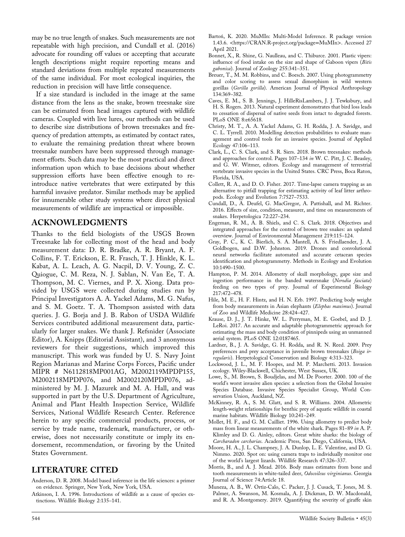may be no true length of snakes. Such measurements are not repeatable with high precision, and Cundall et al. (2016) advocate for rounding off values or accepting that accurate length descriptions might require reporting means and standard deviations from multiple repeated measurements of the same individual. For most ecological inquiries, the reduction in precision will have little consequence.

If a size standard is included in the image at the same distance from the lens as the snake, brown treesnake size can be estimated from head images captured with wildlife cameras. Coupled with live lures, our methods can be used to describe size distributions of brown treesnakes and frequency of predation attempts, as estimated by contact rates, to evaluate the remaining predation threat where brown treesnake numbers have been suppressed through management efforts. Such data may be the most practical and direct information upon which to base decisions about whether suppression efforts have been effective enough to reintroduce native vertebrates that were extirpated by this harmful invasive predator. Similar methods may be applied for innumerable other study systems where direct physical measurements of wildlife are impractical or impossible.

#### ACKNOWLEDGMENTS

Thanks to the field biologists of the USGS Brown Treesnake lab for collecting most of the head and body measurement data: D. R. Bradke, A. R. Bryant, A. F. Collins, F. T. Erickson, E. R. Frasch, T. J. Hinkle, K. L. Kabat, A. L. Leach, A. G. Nacpil, D. V. Young, Z. C. Quiogue, C. M. Reza, N. J. Sablan, N. Van Ee, T. A. Thompson, M. C. Viernes, and P. X. Xiong. Data provided by USGS were collected during studies run by Principal Investigators A. A. Yackel Adams, M. G. Nafus, and S. M. Goetz. T. A. Thompson assisted with data queries. J. G. Borja and J. B. Rabon of USDA Wildlife Services contributed additional measurement data, particularly for larger snakes. We thank J. Refsnider (Associate Editor), A. Knipps (Editorial Assistant), and 3 anonymous reviewers for their suggestions, which improved this manuscript. This work was funded by U. S. Navy Joint Region Marianas and Marine Corps Forces, Pacific under MIPR # N6112818MP001AG, M2002119MPDP155, M2002118MPDP076, and M2002120MPDP076, administered by M. J. Mazurek and M. A. Hall, and was supported in part by the U.S. Department of Agriculture, Animal and Plant Health Inspection Service, Wildlife Services, National Wildlife Research Center. Reference herein to any specific commercial products, process, or service by trade name, trademark, manufacturer, or otherwise, does not necessarily constitute or imply its endorsement, recommendation, or favoring by the United States Government.

### LITERATURE CITED

- Anderson, D. R. 2008. Model based inference in the life sciences: a primer on evidence. Springer, New York, New York, USA.
- Atkinson, I. A. 1996. Introductions of wildlife as a cause of species extinctions. Wildlife Biology 2:135–141.
- Bartoń, K. 2020. MuMIn: Multi‐Model Inference. R package version 1.43.6. <https://CRAN.R-[project.org/package](https://CRAN.R-project.org/package=MuMIn)=MuMIn>. Accessed 27 April 2021.
- Bonnet, X., R. Shine, G. Naulleau, and C. Thiburce. 2001. Plastic vipers: influence of food intake on the size and shape of Gaboon vipers (Bitis gabonica). Journal of Zoology 255:341–351.
- Breuer, T., M. M. Robbins, and C. Boesch. 2007. Using photogrammetry and color scoring to assess sexual dimorphism in wild western gorillas (Gorilla gorilla). American Journal of Physical Anthropology 134:369–382.
- Caves, E. M., S. B. Jennings, J. HilleRisLambers, J. J. Tewksbury, and H. S. Rogers. 2013. Natural experiment demonstrates that bird loss leads to cessation of dispersal of native seeds from intact to degraded forests. PLoS ONE 8:e65618.
- Christy, M. T., A. A. Yackel Adams, G. H. Rodda, J. A. Savidge, and C. L. Tyrrell. 2010. Modelling detection probabilities to evaluate management and control tools for an invasive species. Journal of Applied Ecology 47:106–113.
- Clark, L., C. S. Clark, and S. R. Siers. 2018. Brown treesnakes: methods and approaches for control. Pages 107–134 in W. C. Pitt, J. C. Beasley, and G. W. Witmer, editors. Ecology and management of terrestrial vertebrate invasive species in the United States. CRC Press, Boca Raton, Florida, USA.
- Collett, R. A., and D. O. Fisher. 2017. Time‐lapse camera trapping as an alternative to pitfall trapping for estimating activity of leaf litter arthropods. Ecology and Evolution 7:7527–7533.
- Cundall, D., A. Deufel, G. MacGregor, A. Pattishall, and M. Richter. 2016. Effects of size, condition, measurer, and time on measurements of snakes. Herpetologica 72:227–234.
- Engeman, R. M., A. B. Shiels, and C. S. Clark. 2018. Objectives and integrated approaches for the control of brown tree snakes: an updated overview. Journal of Environmental Management 219:115–124.
- Gray, P. C., K. C. Bierlich, S. A. Mantell, A. S. Friedlaender, J. A. Goldbogen, and D.W. Johnston. 2019. Drones and convolutional neural networks facilitate automated and accurate cetacean species identification and photogrammetry. Methods in Ecology and Evolution 10:1490–1500.
- Hampton, P. M. 2014. Allometry of skull morphology, gape size and ingestion performance in the banded watersnake (Nerodia fasciata) feeding on two types of prey. Journal of Experimental Biology 217:472–478.
- Hile, M. E., H. F. Hintz, and H. N. Erb. 1997. Predicting body weight from body measurements in Asian elephants (Elephas maximus). Journal of Zoo and Wildlife Medicine 28:424–427.
- Krause, D. J., J. T. Hinke, W. L. Perryman, M. E. Goebel, and D. J. LeRoi. 2017. An accurate and adaptable photogrammetric approach for estimating the mass and body condition of pinnipeds using an unmanned aerial system. PLoS ONE 12:0187465.
- Lardner, B., J. A. Savidge, G. H. Rodda, and R. N. Reed. 2009. Prey preferences and prey acceptance in juvenile brown treesnakes (Boiga irregularis). Herpetological Conservation and Biology 4:313–323.
- Lockwood, J. L., M. F. Hoopes, and M. P. Marchetti. 2013. Invasion ecology. Wiley‐Blackwell, Chichester, West Sussex, UK.
- Lowe, S., M. Brown, S. Boudjelas, and M. De Poorter. 2000. 100 of the world's worst invasive alien species: a selection from the Global Invasive Species Database. Invasive Species Specialist Group, World Conservation Union, Auckland, NZ.
- McKinney, R. A., S. M. Glatt, and S. R. Williams. 2004. Allometric length‐weight relationships for benthic prey of aquatic wildlife in coastal marine habitats. Wildlife Biology 10:241–249.
- Mollet, H. F., and G. M. Cailliet. 1996. Using allometry to predict body mass from linear measurements of the white shark. Pages 81–89 in A. P. Klimley and D. G. Ainley, editors. Great white sharks: the biology of Carcharadon carcharias. Academic Press, San Diego, California, USA.
- Moore, H. A., J. L. Champney, J. A. Dunlop, L. E. Valentine, and D. G. Nimmo. 2020. Spot on: using camera traps to individually monitor one of the world's largest lizards. Wildlife Research 47:326–337.
- Morris, B., and A. J. Mead. 2016. Body mass estimates from bone and tooth measurements in white-tailed deer, Odocoileus virginianus. Georgia Journal of Science 74:Article 18.
- Muneza, A. B., W. Ortiz‐Calo, C. Packer, J. J. Cusack, T. Jones, M. S. Palmer, A. Swanson, M. Kosmala, A. J. Dickman, D. W. Macdonald, and R. A. Montgomery. 2019. Quantifying the severity of giraffe skin